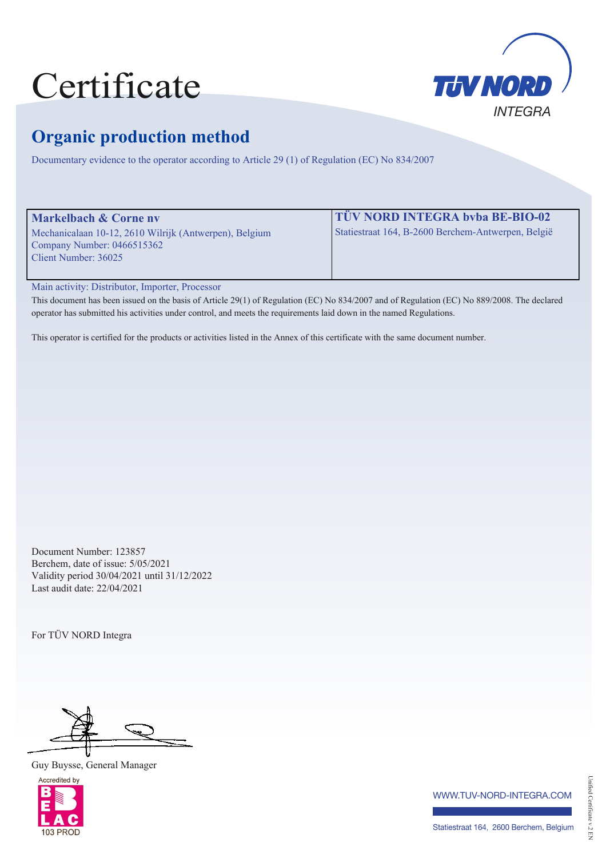# Certificate



## **Organic production method**

Documentary evidence to the operator according to Article 29 (1) of Regulation (EC) No 834/2007

| <b>Markelbach &amp; Corne nv</b>                       | <b>TÜV NORD INTEGRA bvba BE-BIO-02</b>             |
|--------------------------------------------------------|----------------------------------------------------|
| Mechanicalaan 10-12, 2610 Wilrijk (Antwerpen), Belgium | Statiestraat 164, B-2600 Berchem-Antwerpen, België |
| Company Number: $0466515362$                           |                                                    |
| Client Number: 36025                                   |                                                    |
|                                                        |                                                    |

Main activity: Distributor, Importer, Processor

This document has been issued on the basis of Article 29(1) of Regulation (EC) No 834/2007 and of Regulation (EC) No 889/2008. The declared operator has submitted his activities under control, and meets the requirements laid down in the named Regulations.

This operator is certified for the products or activities listed in the Annex of this certificate with the same document number.

Document Number: 123857 Berchem, date of issue: 5/05/2021 Validity period 30/04/2021 until 31/12/2022 Last audit date: 22/04/2021

For TÜV NORD Integra

Guy Buysse, General Manager



www.tuv-nord-integra.com